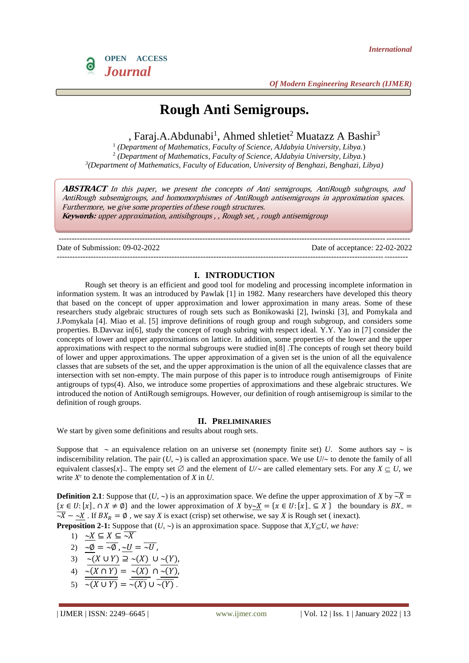

# **Rough Anti Semigroups.**

, Faraj.A.Abdunabi<sup>1</sup>, Ahmed shletiet<sup>2</sup> Muatazz A Bashir<sup>3</sup>

1 *(Department of Mathematics, Faculty of Science, AJdabyia University, Libya.*) 2 *(Department of Mathematics, Faculty of Science, AJdabyia University, Libya.*) *3 (Department of Mathematics, Faculty of Education, University of Benghazi, Benghazi, Libya)*

**ABSTRACT** In this paper, we present the concepts of Anti semigroups, AntiRough subgroups, and AntiRough subsemigroups, and homomorphismes of AntiRough antisemigroups in approximation spaces. Furthermore, we give some properties of these rough structures. **Keywords:** upper approximation, antisibgroups , , Rough set, , rough antisemigroup

--------------------------------------------------------------------------------------------------------------------------------------

--------------------------------------------------------------------------------------------------------------------------------------

Date of Submission: 09-02-2022 Date of acceptance: 22-02-2022

#### **I. INTRODUCTION**

Rough set theory is an efficient and good tool for modeling and processing incomplete information in information system. It was an introduced by Pawlak [1] in 1982. Many researchers have developed this theory that based on the concept of upper approximation and lower approximation in many areas. Some of these researchers study algebraic structures of rough sets such as Bonikowaski [2], Iwinski [3], and Pomykala and J.Pomykala [4]. Miao et al. [5] improve definitions of rough group and rough subgroup, and considers some properties. B.Davvaz in[6], study the concept of rough subring with respect ideal. Y.Y. Yao in [7] consider the concepts of lower and upper approximations on lattice. In addition, some properties of the lower and the upper approximations with respect to the normal subgroups were studied in[8] .The concepts of rough set theory build of lower and upper approximations. The upper approximation of a given set is the union of all the equivalence classes that are subsets of the set, and the upper approximation is the union of all the equivalence classes that are intersection with set non-empty. The main purpose of this paper is to introduce rough antisemigroups of Finite antigroups of typs(4). Also, we introduce some properties of approximations and these algebraic structures. We introduced the notion of AntiRough semigroups. However, our definition of rough antisemigroup is similar to the definition of rough groups.

#### **II. PRELIMINARIES**

We start by given some definitions and results about rough sets.

Suppose that  $\sim$  an equivalence relation on an universe set (nonempty finite set) *U*. Some authors say  $\sim$  is indiscernibility relation. The pair  $(U, \sim)$  is called an approximation space. We use  $U/\sim$  to denote the family of all equivalent classes[*x*]. The empty set  $\emptyset$  and the element of  $U/\sim$  are called elementary sets. For any  $X \subset U$ , we write  $X^c$  to denote the complementation of  $X$  in  $U$ .

**Definition 2.1**: Suppose that  $(U, \sim)$  is an approximation space. We define the upper approximation of *X* by  $\overline{\sim X}$  =  ${x \in U : [x] \cap X \neq \emptyset}$  and the lower approximation of *X* by~*X* = { $x \in U : [x] \subseteq X}$ } the boundary is  $BX \subseteq Y$  $\overline{X}$  –  $\overline{X}$  –  $\overline{X}$  . If  $BX_R = \emptyset$ , we say *X* is exact (crisp) set otherwise, we say *X* is Rough set (inexact).

**Preposition 2-1:** Suppose that  $(U, \sim)$  is an approximation space. Suppose that *X,Y* $\subset U$ *, we have:* 

- 1)  $\sim X \subseteq X \subseteq \overline{\sim X}$
- 2)  $\sim \emptyset = \overline{\sim \emptyset}$ ,  $\sim U = \overline{\sim U}$ ,
- 3)  $\sim (X \cup Y) \supseteq \sim (X) \cup \sim (Y),$
- 4)  $\overline{\sim(X \cap Y)} = \overline{\sim(X)} \cap \overline{\sim(Y)}$
- 5)  $\overline{\sim(X \cup Y)} = \overline{\sim(X)} \cup \overline{\sim(Y)}$ .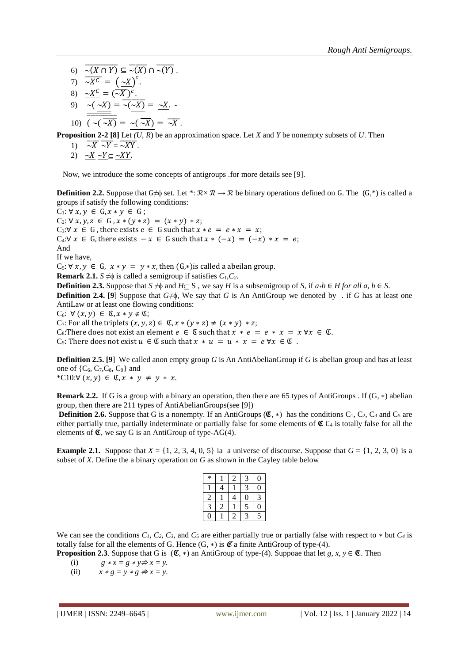- 6)  $\overline{\sim(X \cap Y)} \subseteq \overline{\sim(X)} \cap \overline{\sim(Y)}$ .
- 7)  $\overline{\sim X^c} = \left(\frac{\sim X}{\sim X}\right)^c$ .
- 8)  $X^C = (\overline{X})^C$ .

9) 
$$
\frac{\overline{\sim(\sim X)}}{\frac{\overline{\sim(\sim X)}}{\sim \sim \sim}} = \frac{\overline{\sim(X)}}{\sim \sim \sim} = \frac{\sim X}{X}.
$$

10)  $\overline{(\sim(\sim X)} = \sim(\sim X) = \overline{\sim X}$ .

**Proposition 2-2 [8]** Let *(U, R*) be an approximation space. Let *X* and *Y* be nonempty subsets of *U*. Then

- 1)  $\overline{\sim X} \overline{\sim Y} = \overline{\sim XY}$ .
- 2)  $\sim X \sim Y \subseteq \sim XY$ .

Now, we introduce the some concepts of antigroups .for more details see [9].

**Definition 2.2.** Suppose that G≠ $\phi$  set. Let \*:  $\mathcal{R} \times \mathcal{R} \to \mathcal{R}$  be binary operations defined on G. The  $(G,*)$  is called a groups if satisfy the following conditions:

 $C_1: \forall x, y \in G, x * y \in G;$ C<sub>2</sub>:  $\forall x, y, z \in G, x * (y * z) = (x * y) * z;$ C<sub>3</sub>:∀  $x \in G$ , there exists  $e \in G$  such that  $x * e = e * x = x$ ;  $C_4: \forall x \in G$ , there exists  $-x \in G$  such that  $x \ast (-x) = (-x) \ast x = e$ ; And If we have,  $C_5$ :  $\forall x, y \in G$ ,  $x * y = y * x$ , then  $(G, *)$  is called a abeilan group. **Remark 2.1.** *S*  $\neq$  **o** is called a semigroup if satisfies  $C_1$ ,  $C_2$ . **Definition 2.3.** Suppose that  $S \neq \emptyset$  and  $H \subseteq S$ , we say *H* is a subsemigroup of *S*, if  $a * b \in H$  for all  $a, b \in S$ . **Definition 2.4.** [9] Suppose that  $G \neq \emptyset$ , We say that *G* is An AntiGroup we denoted by . if *G* has at least one AntiLaw or at least one flowing conditions:  $C_6$ :  $\forall (x, y) \in \mathfrak{C}, x * y \notin \mathfrak{C};$ C<sub>7</sub>: For all the triplets  $(x, y, z) \in \mathfrak{C}$ ,  $x * (y * z) \neq (x * y) * z$ ;

C<sub>8</sub>: There does not exist an element  $e \in \mathfrak{C}$  such that  $x * e = e * x = x \forall x \in \mathfrak{C}$ . C<sub>9</sub>: There does not exist  $u \in \mathfrak{C}$  such that  $x * u = u * x = e \forall x \in \mathfrak{C}$ .

**Definition 2.5. [9]** We called anon empty group *G* is An AntiAbelianGroup if *G* is abelian group and has at least one of  $\{C_6, C_7, C_8, C_9\}$  and \*C10:∀  $(x, y)$  ∈ **C**,  $x * y ≠ y * x$ .

**Remark 2.2.** If G is a group with a binary an operation, then there are 65 types of AntiGroups . If (G, ∗) abelian group, then there are 211 types of AntiAbelianGroups(see [9])

**Definition 2.6.** Suppose that G is a nonempty. If an AntiGroups ( $\mathfrak{C}_*$ ) has the conditions C<sub>1</sub>, C<sub>2</sub>, C<sub>3</sub> and C<sub>5</sub> are either partially true, partially indeterminate or partially false for some elements of  $\mathfrak{C} C_4$  is totally false for all the elements of  $\mathfrak{C}$ , we say G is an AntiGroup of type-AG(4).

**Example 2.1.** Suppose that  $X = \{1, 2, 3, 4, 0, 5\}$  ia a universe of discourse. Suppose that  $G = \{1, 2, 3, 0\}$  is a subset of *X*. Define the a binary operation on *G* as shown in the Cayley table below

| * |                | 2 | 3 | O |
|---|----------------|---|---|---|
|   | 4              |   | 3 | 0 |
| 2 |                | 4 | 0 | 3 |
| 3 | $\overline{2}$ |   | 5 | 0 |
| 0 |                | 2 | 3 | 5 |

We can see the conditions  $C_1$ ,  $C_2$ ,  $C_3$ , and  $C_5$  are either partially true or partially false with respect to  $*$  but  $C_4$  is totally false for all the elements of G. Hence  $(G, *)$  is  $\mathcal{C}$  a finite AntiGroup of type-(4).

**Proposition 2.3**. Suppose that G is  $(\mathfrak{C}, *)$  an AntiGroup of type-(4). Suppoae that let *g, x, y*  $\in \mathfrak{C}$ . Then

- (i)  $g * x = g * y \neq x = y$ .
- (ii)  $x * g = y * g \neq x = y$ .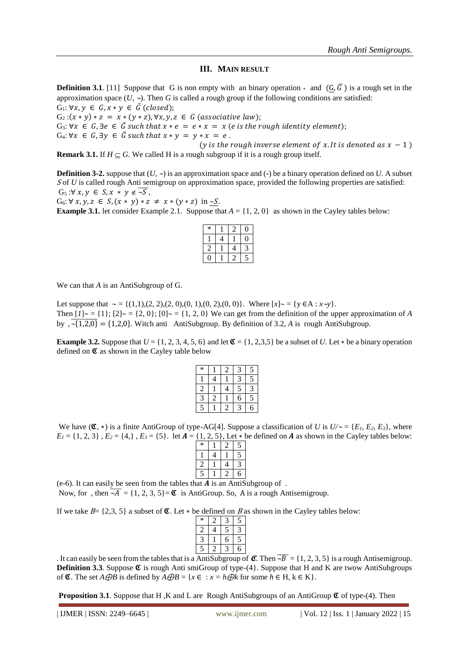# **III. MAIN RESULT**

**Definition 3.1**. [11] Suppose that G is non empty with an binary operation  $*$  and  $(G, \overline{G})$  is a rough set in the approximation space  $(U, \sim)$ . Then *G* is called a rough group if the following conditions are satisfied:

 $G_1: \forall x, y \in G, x * y \in \overline{G}$  (closed);  $G_2$ : $(x * y) * z = x * (y * z)$ ,  $\forall x, y, z \in G$  (associative law); G<sub>3</sub>:  $\forall x \in G, \exists e \in \overline{G}$  such that  $x * e = e * x = x$  (*e* is the rough identity element);  $G_4$ :  $\forall x \in G$ ,  $\exists y \in \bar{G}$  such that  $x * y = y * x = e$ . (*y* is the rough inverse element of *x*. It is denoted as  $x - 1$ )

**Remark 3.1.** If  $H \subseteq G$ . We called H is a rough subgroup if it is a rough group itself.

**Definition 3-2.** suppose that  $(U, \sim)$  is an approximation space and  $(*)$  be a binary operation defined on *U*. A subset S of *U* is called rough Anti semigroup on approximation space, provided the following properties are satisfied:  $G_5: \forall x, y \in S, x * y \notin \overline{\sim S},$ 

 $G_6$ :  $\forall x, y, z \in S, (x * y) * z \neq x * (y * z)$  in  $\underline{\sim}S$ .

**Example 3.1.** let consider Example 2.1. Suppose that  $A = \{1, 2, 0\}$  as shown in the Cayley tables below:

| ∗ |  |  |
|---|--|--|
|   |  |  |
|   |  |  |
|   |  |  |

We can that *A* is an AntiSubgroup of G.

Let suppose that  $\sim = \{(1,1), (2, 2), (2, 0), (0, 1), (0, 2), (0, 0)\}.$  Where  $[x] \sim = \{y \in A : x \sim y\}.$ Then  $[1] \sim = \{1\}$ ;  $[2] \sim = \{2, 0\}$ ;  $[0] \sim = \{1, 2, 0\}$  We can get from the definition of the upper approximation of *A* by  $\sqrt{(1,2,0)} = \{1,2,0\}$ . Witch anti AntiSubgroup. By definition of 3.2, A is rough AntiSubgroup.

**Example 3.2.** Suppose that  $U = \{1, 2, 3, 4, 5, 6\}$  and let  $\mathfrak{C} = \{1, 2, 3, 5\}$  be a subset of *U*. Let  $*$  be a binary operation defined on  $\mathfrak C$  as shown in the Cayley table below

| * |   |   | 3 | 5 |
|---|---|---|---|---|
|   | 4 |   | 3 | 5 |
| 2 |   | 4 | 5 | 3 |
| 3 | 2 |   | б | 5 |
| 5 |   | 2 | 3 | б |

We have  $(\mathfrak{C}, *)$  is a finite AntiGroup of type-AG[4]. Suppose a classification of *U* is  $U/\sim$  = {*E<sub>1</sub>*, *E<sub>2</sub>*, *E<sub>3</sub>*}, where  $E_1 = \{1, 2, 3\}$ ,  $E_2 = \{4\}$ ,  $E_3 = \{5\}$ . let  $A = \{1, 2, 5\}$ , Let  $*$  be defined on *A* as shown in the Cayley tables below:

| *            |   | 2 | 5 |
|--------------|---|---|---|
|              | 4 |   | 5 |
| 2            |   | 4 | 3 |
| 5            |   | 2 | б |
| .<br>.<br>n. |   |   |   |

(e-6). It can easily be seen from the tables that  $A$  is an AntiSubgroup of . Now, for, then  $\overline{A} = \{1, 2, 3, 5\} = \mathfrak{C}$  is AntiGroup. So, A is a rough Antisemigroup.

If we take  $B = \{2,3, 5\}$  a subset of  $\mathfrak{C}$ . Let  $*$  be defined on B as shown in the Cayley tables below:

| * |   |   | 5 |
|---|---|---|---|
| 2 | 4 | 5 |   |
|   |   | 6 | 5 |
| Ξ |   |   |   |

. It can easily be seen from the tables that is a AntiSubgroup of  $\mathcal{L}$ . Then  $\overline{B} = \{1, 2, 3, 5\}$  is a rough Antisemigroup. **Definition 3.3**. Suppose  $\mathfrak{C}$  is rough Anti smiGroup of type-(4). Suppose that H and K are twow AntiSubgroups of  $\mathfrak{C}$ . The set *A* $\bigoplus B$  is defined by  $A \bigoplus B = \{x \in : x = h \bigoplus k \text{ for some } h \in H, k \in K\}.$ 

**Proposition 3.1**. Suppose that H, K and L are Rough AntiSubgroups of an AntiGroup  $\mathfrak{C}$  of type-(4). Then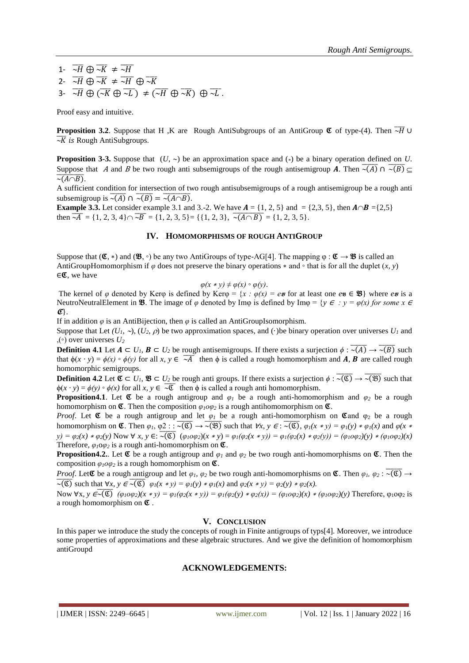1-  $\overline{\sim}H \oplus \overline{\sim}K \neq \overline{\sim}H$ 2-  $\overline{\sim}H$   $\oplus \overline{\sim}K$   $\neq \overline{\sim}H$   $\oplus \overline{\sim}K$ 3-  $\overline{\sim}H$   $\oplus$   $\overline{\sim K}$   $\oplus$   $\overline{\sim L}$   $\neq$   $\overline{\sim H}$   $\oplus$   $\overline{\sim K}$   $\oplus$   $\overline{\sim L}$ .

Proof easy and intuitive.

**Proposition 3.2.** Suppose that H ,K are Rough AntiSubgroups of an AntiGroup  $\mathfrak{C}$  of type-(4). Then  $\overline{\overline{H}}$  ∪  $\overline{\mathcal{R}}$  is Rough AntiSubgroups.

**Proposition 3-3.** Suppose that  $(U, \sim)$  be an approximation space and (\*) be a binary operation defined on *U*. Suppose that A and B be two rough anti subsemigroups of the rough antisemigroup A. Then  $\overline{\sim(A)} \cap \overline{\sim(B)} \subseteq$  $\overline{\sim(A \cap B)}$ .

A sufficient condition for intersection of two rough antisubsemigroups of a rough antisemigroup be a rough anti subsemigroup is  $\overline{\sim(A)} \cap \overline{\sim(B)} = \overline{\sim(A \cap B)}$ .

**Example 3.3.** Let consider example 3.1 and 3.-2. We have  $A = \{1, 2, 5\}$  and  $= \{2, 3, 5\}$ , then  $A \cap B = \{2, 5\}$ then  $\overline{A} = \{1, 2, 3, 4\} \cap \overline{B} = \{1, 2, 3, 5\} = \{\{1, 2, 3\}, \overline{A} = \overline{(A \cap B)} = \{1, 2, 3, 5\}.$ 

#### **IV. HOMOMORPHISMS OF ROUGH ANTIGROUP**

Suppose that  $(\mathfrak{C}, *)$  and  $(\mathfrak{B}, \circ)$  be any two AntiGroups of type-AG[4]. The mapping  $\varphi : \mathfrak{C} \to \mathfrak{B}$  is called an AntiGroupHomomorphism if  $\varphi$  does not preserve the binary operations  $*$  and  $\circ$  that is for all the duplet  $(x, y)$  $\in \mathfrak{C}$ , we have

$$
\varphi(x * y) \neq \varphi(x) \circ \varphi(y).
$$

The kernel of  $\varphi$  denoted by Ker $\varphi$  is defined by Ker $\varphi = \{x : \varphi(x) = e_{\mathcal{B}}\}$  or at least one  $e_{\mathcal{B}} \in \mathcal{B}\}$  where  $e_{\mathcal{B}}$  is a NeutroNeutralElement in **38**. The image of  $\varphi$  denoted by Im $\varphi$  is defined by Im $\varphi = \{y \in : y = \varphi(x) \text{ for some } x \in \mathbb{R}\}$  $\mathcal{C}$ .

If in addition  $\varphi$  is an AntiBijection, then  $\varphi$  is called an AntiGroupIsomorphism.

Suppose that Let  $(U_1, \neg), (U_2, \rho)$  be two approximation spaces, and (·)be binary operation over universes  $U_1$  and  $,$ ( $\circ$ ) over universes  $U_2$ 

**Definition 4.1** Let  $A \subset U_1$ ,  $B \subset U_2$  be rough antisemigroups. If there exists a surjection  $\phi : \overline{\sim(A)} \to \overline{\sim(B)}$  such that  $\phi(x \cdot y) = \phi(x) \circ \phi(y)$  for all *x, y* ∈  $\overline{A}$  then  $\phi$  is called a rough homomorphism and *A*, *B* are called rough homomorphic semigroups.

**Definition 4.2** Let  $\mathfrak{C} \subset U_1$ ,  $\mathfrak{B} \subset U_2$  be rough anti groups. If there exists a surjection  $\phi : \overline{\sim(\mathfrak{C})} \to \overline{\sim(\mathfrak{B})}$  such that  $\phi(x \cdot y) = \phi(y) \circ \phi(x)$  for all  $x, y \in \overline{\mathcal{X}}$  then  $\phi$  is called a rough anti homomorphism.

**Proposition4.1**. Let  $\mathfrak{C}$  be a rough antigroup and  $\varphi_1$  be a rough anti-homomorphism and  $\varphi_2$  be a rough homomorphism on  $\mathfrak{C}$ . Then the composition  $\varphi_l \circ \varphi_l$  is a rough antihomomorphism on  $\mathfrak{C}$ .

*Proof.* Let  $\mathfrak C$  be a rough antigroup and let  $\varphi_1$  be a rough anti-homomorphism on  $\mathfrak C$  and  $\varphi_2$  be a rough homomorphism on  $\mathfrak{C}$ . Then  $\varphi_1, \varphi_2 : \overline{\cdot(\mathfrak{C})} \to \overline{\cdot(\mathfrak{B})}$  such that  $\forall x, y \in \overline{\cdot(\mathfrak{C})}$ ,  $\varphi_1(x * y) = \varphi_1(y) * \varphi_1(x)$  and  $\varphi(x * y) = \overline{\cdot(\mathfrak{C})}$ y) =  $\varphi_2(x) * \varphi_2(y)$  Now  $\forall x, y \in : \overline{\sim(\mathbb{C})}$   $(\varphi_1 \circ \varphi_2)(x * y) = \varphi_1(\varphi_2(x * y)) = \varphi_1(\varphi_2(x) * \varphi_2(y)) = (\varphi_1 \circ \varphi_2)(y) * (\varphi_1 \circ \varphi_2)(x)$ Therefore,  $\varphi_1 \circ \varphi_2$  is a rough anti-homomorphism on  $\mathfrak{C}$ .

**Proposition4.2.** Let  $\mathfrak{C}$  be a rough antigroup and  $\varphi_1$  and  $\varphi_2$  be two rough anti-homomorphisms on  $\mathfrak{C}$ . Then the composition  $\varphi_1 \circ \varphi_2$  is a rough homomorphism on  $\mathfrak{C}$ .

*Proof.* Let  $\mathfrak C$  be a rough antigroup and let  $\varphi_1, \varphi_2$  be two rough anti-homomorphisms on  $\mathfrak C$ . Then  $\varphi_1, \varphi_2$ :  $\overline{\varphi(\mathfrak C)} \to$  $\overline{\sim(\mathfrak{C})}$  such that  $\forall x, y \in \overline{\sim(\mathfrak{C})}$   $\varphi_1(x * y) = \varphi_1(y) * \varphi_1(x)$  and  $\varphi_2(x * y) = \varphi_2(y) * \varphi_2(x)$ .

Now  $\forall x, y \in \overline{\langle \mathfrak{C} \rangle}$   $(\varphi_1 \circ \varphi_2)(x * y) = \varphi_1(\varphi_2(x * y)) = \varphi_1(\varphi_2(y) * \varphi_2(x)) = (\varphi_1 \circ \varphi_2)(x) * (\varphi_1 \circ \varphi_2)(y)$  Therefore,  $\varphi_1 \circ \varphi_2$  is a rough homomorphism on  $\mathfrak C$ .

## **V. CONCLUSION**

In this paper we introduce the study the concepts of rough in Finite antigroups of typs[4]. Moreover, we introduce some properties of approximations and these algebraic structures. And we give the definition of homomorphism antiGroupd

#### **ACKNOWLEDGEMENTS:**